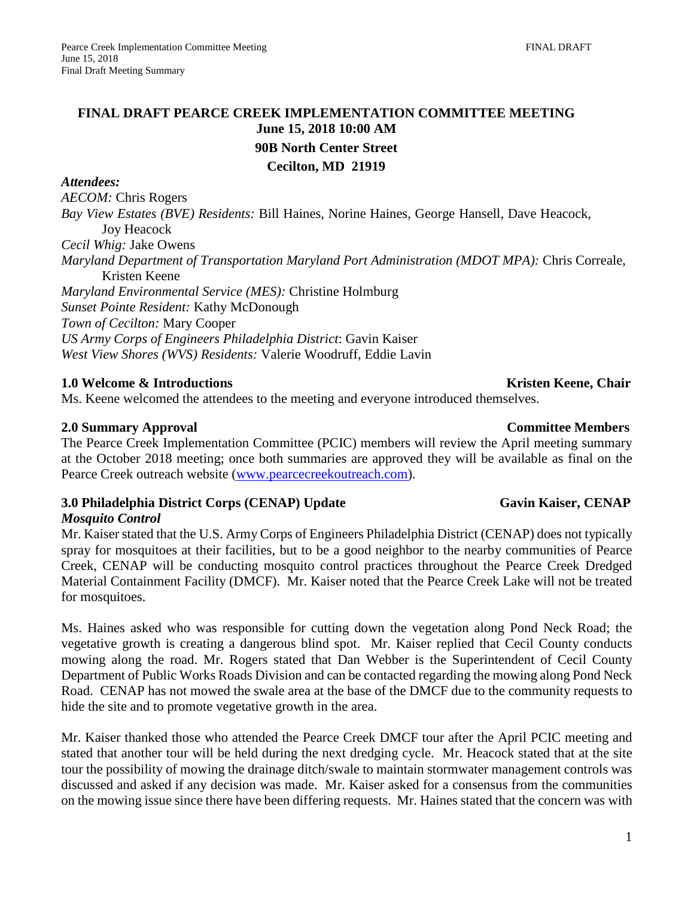# **FINAL DRAFT PEARCE CREEK IMPLEMENTATION COMMITTEE MEETING June 15, 2018 10:00 AM 90B North Center Street Cecilton, MD 21919**

### *Attendees:*

*AECOM:* Chris Rogers

*Bay View Estates (BVE) Residents:* Bill Haines, Norine Haines, George Hansell, Dave Heacock, Joy Heacock

*Cecil Whig:* Jake Owens

*Maryland Department of Transportation Maryland Port Administration (MDOT MPA):* Chris Correale, Kristen Keene

*Maryland Environmental Service (MES):* Christine Holmburg *Sunset Pointe Resident:* Kathy McDonough *Town of Cecilton:* Mary Cooper *US Army Corps of Engineers Philadelphia District*: Gavin Kaiser *West View Shores (WVS) Residents:* Valerie Woodruff, Eddie Lavin

## **1.0 Welcome & Introductions**  $\bullet$  **Kristen Keene, Chair <b>Kristen Keene**, Chair **Kristen Keene**, Chair

Ms. Keene welcomed the attendees to the meeting and everyone introduced themselves.

## **2.0 Summary Approval Committee Members**

The Pearce Creek Implementation Committee (PCIC) members will review the April meeting summary at the October 2018 meeting; once both summaries are approved they will be available as final on the Pearce Creek outreach website [\(www.pearcecreekoutreach.com\)](http://www.pearcecreekoutreach.com/).

## **3.0** Philadelphia District Corps (CENAP) Update Gavin Kaiser, CENAP

## *Mosquito Control*

Mr. Kaiser stated that the U.S. Army Corps of Engineers Philadelphia District (CENAP) does not typically spray for mosquitoes at their facilities, but to be a good neighbor to the nearby communities of Pearce Creek, CENAP will be conducting mosquito control practices throughout the Pearce Creek Dredged Material Containment Facility (DMCF). Mr. Kaiser noted that the Pearce Creek Lake will not be treated for mosquitoes.

Ms. Haines asked who was responsible for cutting down the vegetation along Pond Neck Road; the vegetative growth is creating a dangerous blind spot. Mr. Kaiser replied that Cecil County conducts mowing along the road. Mr. Rogers stated that Dan Webber is the Superintendent of Cecil County Department of Public Works Roads Division and can be contacted regarding the mowing along Pond Neck Road. CENAP has not mowed the swale area at the base of the DMCF due to the community requests to hide the site and to promote vegetative growth in the area.

Mr. Kaiser thanked those who attended the Pearce Creek DMCF tour after the April PCIC meeting and stated that another tour will be held during the next dredging cycle. Mr. Heacock stated that at the site tour the possibility of mowing the drainage ditch/swale to maintain stormwater management controls was discussed and asked if any decision was made. Mr. Kaiser asked for a consensus from the communities on the mowing issue since there have been differing requests. Mr. Haines stated that the concern was with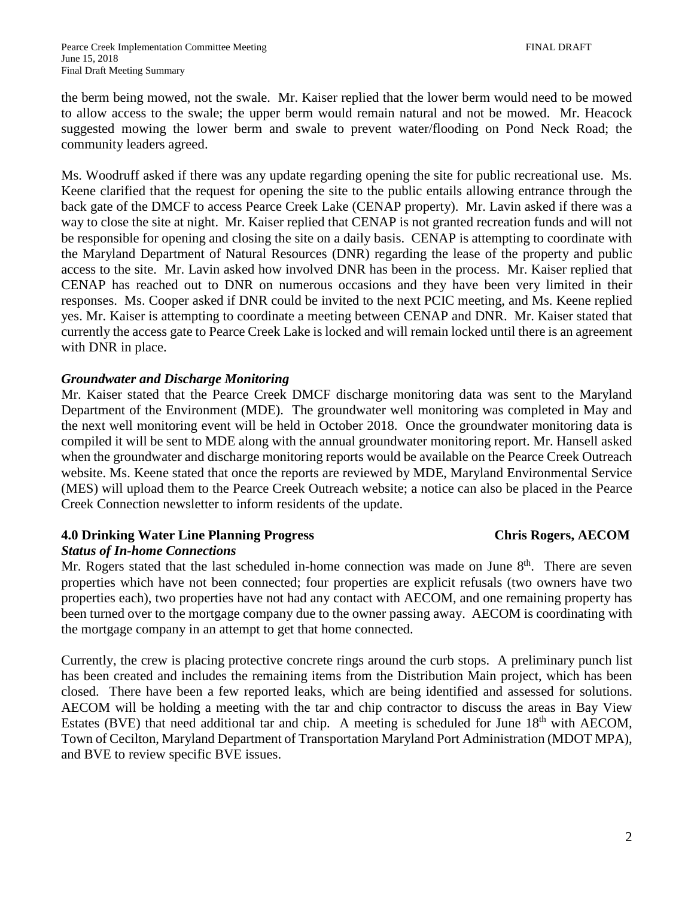the berm being mowed, not the swale. Mr. Kaiser replied that the lower berm would need to be mowed to allow access to the swale; the upper berm would remain natural and not be mowed. Mr. Heacock suggested mowing the lower berm and swale to prevent water/flooding on Pond Neck Road; the community leaders agreed.

Ms. Woodruff asked if there was any update regarding opening the site for public recreational use. Ms. Keene clarified that the request for opening the site to the public entails allowing entrance through the back gate of the DMCF to access Pearce Creek Lake (CENAP property). Mr. Lavin asked if there was a way to close the site at night. Mr. Kaiser replied that CENAP is not granted recreation funds and will not be responsible for opening and closing the site on a daily basis. CENAP is attempting to coordinate with the Maryland Department of Natural Resources (DNR) regarding the lease of the property and public access to the site. Mr. Lavin asked how involved DNR has been in the process. Mr. Kaiser replied that CENAP has reached out to DNR on numerous occasions and they have been very limited in their responses. Ms. Cooper asked if DNR could be invited to the next PCIC meeting, and Ms. Keene replied yes. Mr. Kaiser is attempting to coordinate a meeting between CENAP and DNR. Mr. Kaiser stated that currently the access gate to Pearce Creek Lake is locked and will remain locked until there is an agreement with DNR in place.

### *Groundwater and Discharge Monitoring*

Mr. Kaiser stated that the Pearce Creek DMCF discharge monitoring data was sent to the Maryland Department of the Environment (MDE). The groundwater well monitoring was completed in May and the next well monitoring event will be held in October 2018. Once the groundwater monitoring data is compiled it will be sent to MDE along with the annual groundwater monitoring report. Mr. Hansell asked when the groundwater and discharge monitoring reports would be available on the Pearce Creek Outreach website. Ms. Keene stated that once the reports are reviewed by MDE, Maryland Environmental Service (MES) will upload them to the Pearce Creek Outreach website; a notice can also be placed in the Pearce Creek Connection newsletter to inform residents of the update.

## **4.0 Drinking Water Line Planning Progress Chris Rogers, AECOM**

## *Status of In-home Connections*

Mr. Rogers stated that the last scheduled in-home connection was made on June 8<sup>th</sup>. There are seven properties which have not been connected; four properties are explicit refusals (two owners have two properties each), two properties have not had any contact with AECOM, and one remaining property has been turned over to the mortgage company due to the owner passing away. AECOM is coordinating with the mortgage company in an attempt to get that home connected.

Currently, the crew is placing protective concrete rings around the curb stops. A preliminary punch list has been created and includes the remaining items from the Distribution Main project, which has been closed. There have been a few reported leaks, which are being identified and assessed for solutions. AECOM will be holding a meeting with the tar and chip contractor to discuss the areas in Bay View Estates (BVE) that need additional tar and chip. A meeting is scheduled for June  $18<sup>th</sup>$  with AECOM, Town of Cecilton, Maryland Department of Transportation Maryland Port Administration (MDOT MPA), and BVE to review specific BVE issues.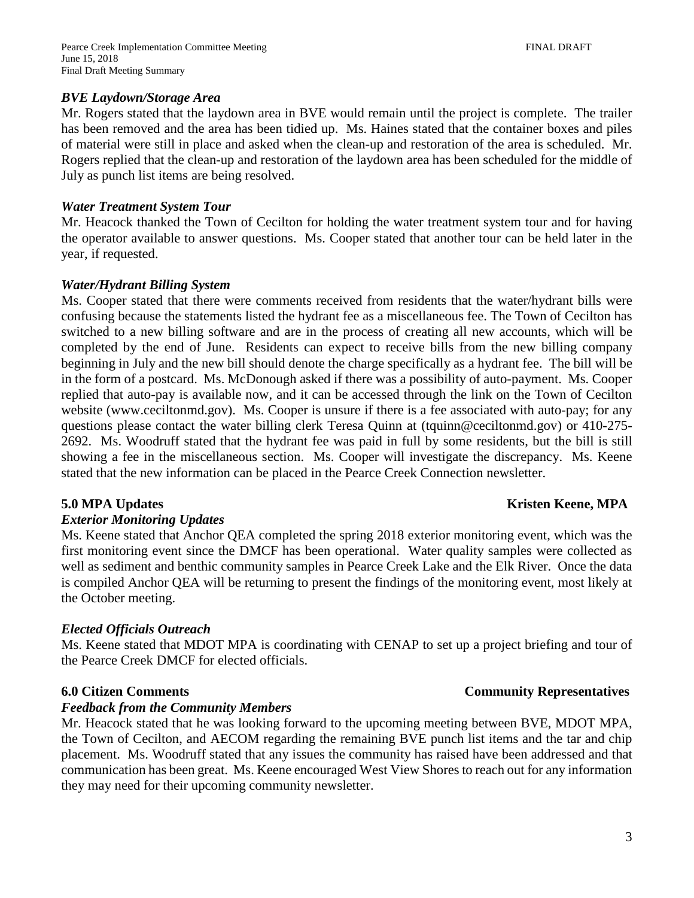### *BVE Laydown/Storage Area*

Mr. Rogers stated that the laydown area in BVE would remain until the project is complete. The trailer has been removed and the area has been tidied up. Ms. Haines stated that the container boxes and piles of material were still in place and asked when the clean-up and restoration of the area is scheduled. Mr. Rogers replied that the clean-up and restoration of the laydown area has been scheduled for the middle of July as punch list items are being resolved.

### *Water Treatment System Tour*

Mr. Heacock thanked the Town of Cecilton for holding the water treatment system tour and for having the operator available to answer questions. Ms. Cooper stated that another tour can be held later in the year, if requested.

### *Water/Hydrant Billing System*

Ms. Cooper stated that there were comments received from residents that the water/hydrant bills were confusing because the statements listed the hydrant fee as a miscellaneous fee. The Town of Cecilton has switched to a new billing software and are in the process of creating all new accounts, which will be completed by the end of June. Residents can expect to receive bills from the new billing company beginning in July and the new bill should denote the charge specifically as a hydrant fee. The bill will be in the form of a postcard. Ms. McDonough asked if there was a possibility of auto-payment. Ms. Cooper replied that auto-pay is available now, and it can be accessed through the link on the Town of Cecilton website (www.ceciltonmd.gov). Ms. Cooper is unsure if there is a fee associated with auto-pay; for any questions please contact the water billing clerk Teresa Quinn at (tquinn@ceciltonmd.gov) or 410-275- 2692. Ms. Woodruff stated that the hydrant fee was paid in full by some residents, but the bill is still showing a fee in the miscellaneous section. Ms. Cooper will investigate the discrepancy. Ms. Keene stated that the new information can be placed in the Pearce Creek Connection newsletter.

### *Exterior Monitoring Updates*

Ms. Keene stated that Anchor QEA completed the spring 2018 exterior monitoring event, which was the first monitoring event since the DMCF has been operational. Water quality samples were collected as well as sediment and benthic community samples in Pearce Creek Lake and the Elk River. Once the data is compiled Anchor QEA will be returning to present the findings of the monitoring event, most likely at the October meeting.

### *Elected Officials Outreach*

Ms. Keene stated that MDOT MPA is coordinating with CENAP to set up a project briefing and tour of the Pearce Creek DMCF for elected officials.

### *Feedback from the Community Members*

Mr. Heacock stated that he was looking forward to the upcoming meeting between BVE, MDOT MPA, the Town of Cecilton, and AECOM regarding the remaining BVE punch list items and the tar and chip placement. Ms. Woodruff stated that any issues the community has raised have been addressed and that communication has been great. Ms. Keene encouraged West View Shores to reach out for any information they may need for their upcoming community newsletter.

## **5.0 MPA Updates Kristen Keene, MPA**

## **6.0 Citizen Comments Community Representatives**